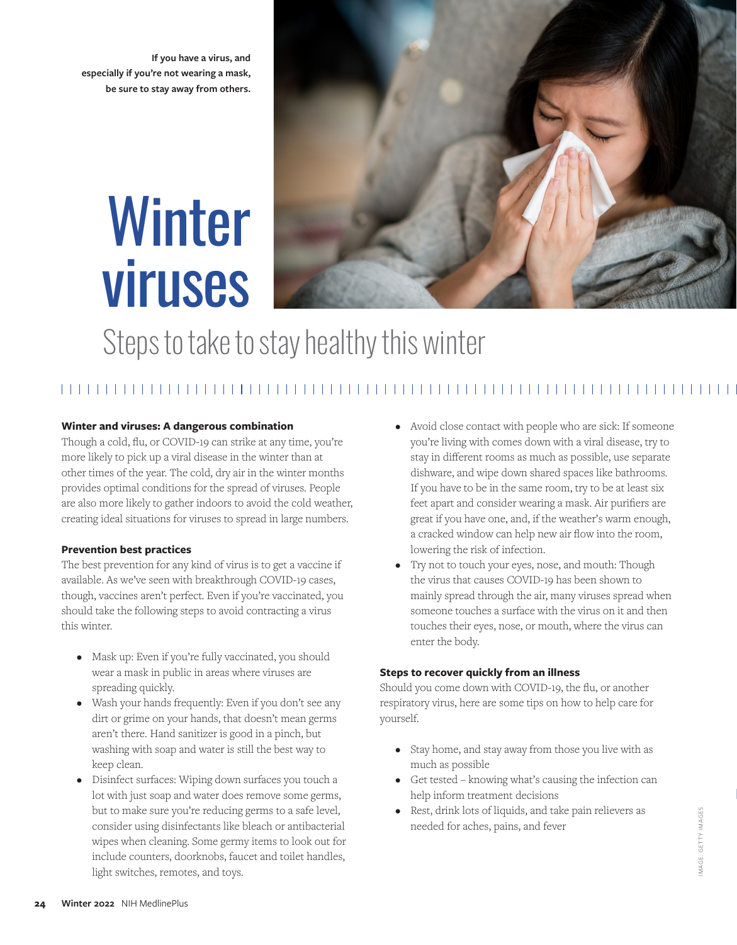**If you have a virus, and especially if you're not wearing a mask, be sure to stay away from others.**

# Winter viruses



# Steps to take to stay healthy this winter

### 

#### **Winter and viruses: A dangerous combination**

Though a cold, flu, or COVID-19 can strike at any time, you're more likely to pick up a viral disease in the winter than at other times of the year. The cold, dry air in the winter months provides optimal conditions for the spread of viruses. People are also more likely to gather indoors to avoid the cold weather, creating ideal situations for viruses to spread in large numbers.

#### **Prevention best practices**

The best prevention for any kind of virus is to get a vaccine if available. As we've seen with breakthrough COVID-19 cases, though, vaccines aren't perfect. Even if you're vaccinated, you should take the following steps to avoid contracting a virus this winter.

- Mask up: Even if you're fully vaccinated, you should wear a mask in public in areas where viruses are spreading quickly.
- Wash your hands frequently: Even if you don't see any dirt or grime on your hands, that doesn't mean germs aren't there. Hand sanitizer is good in a pinch, but washing with soap and water is still the best way to keep clean.
- Disinfect surfaces: Wiping down surfaces you touch a lot with just soap and water does remove some germs, but to make sure you're reducing germs to a safe level, consider using disinfectants like bleach or antibacterial wipes when cleaning. Some germy items to look out for include counters, doorknobs, faucet and toilet handles, light switches, remotes, and toys.
- Avoid close contact with people who are sick: If someone you're living with comes down with a viral disease, try to stay in different rooms as much as possible, use separate dishware, and wipe down shared spaces like bathrooms. If you have to be in the same room, try to be at least six feet apart and consider wearing a mask. Air purifiers are great if you have one, and, if the weather's warm enough, a cracked window can help new air flow into the room, lowering the risk of infection.
- Try not to touch your eyes, nose, and mouth: Though the virus that causes COVID-19 has been shown to mainly spread through the air, many viruses spread when someone touches a surface with the virus on it and then touches their eyes, nose, or mouth, where the virus can enter the body.

#### **Steps to recover quickly from an illness**

Should you come down with COVID-19, the flu, or another respiratory virus, here are some tips on how to help care for yourself.

- Stay home, and stay away from those you live with as much as possible
- Get tested knowing what's causing the infection can help inform treatment decisions
- Rest, drink lots of liquids, and take pain relievers as needed for aches, pains, and fever